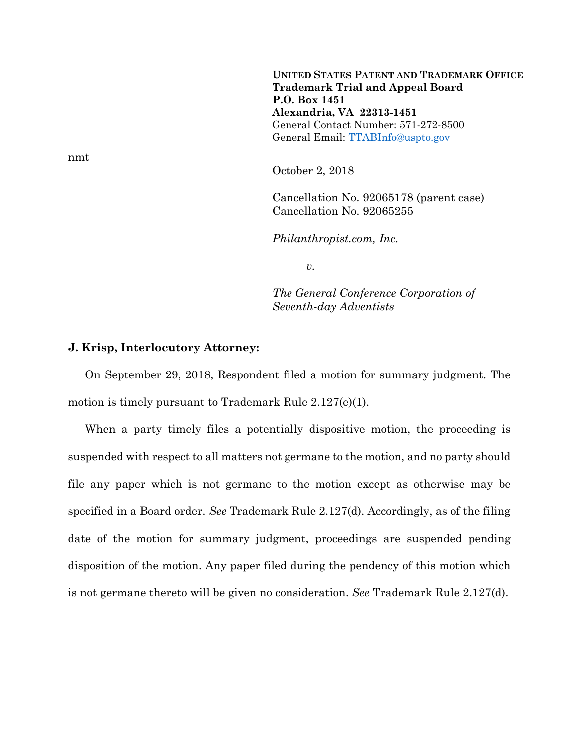**UNITED STATES PATENT AND TRADEMARK OFFICE Trademark Trial and Appeal Board P.O. Box 1451 Alexandria, VA 22313-1451**  General Contact Number: 571-272-8500 General Email: TTABInfo@uspto.gov

October 2, 2018

Cancellation No. 92065178 (parent case) Cancellation No. 92065255

*Philanthropist.com, Inc.* 

*v.* 

*The General Conference Corporation of Seventh-day Adventists* 

## **J. Krisp, Interlocutory Attorney:**

On September 29, 2018, Respondent filed a motion for summary judgment. The motion is timely pursuant to Trademark Rule 2.127(e)(1).

When a party timely files a potentially dispositive motion, the proceeding is suspended with respect to all matters not germane to the motion, and no party should file any paper which is not germane to the motion except as otherwise may be specified in a Board order. *See* Trademark Rule 2.127(d). Accordingly, as of the filing date of the motion for summary judgment, proceedings are suspended pending disposition of the motion. Any paper filed during the pendency of this motion which is not germane thereto will be given no consideration. *See* Trademark Rule 2.127(d).

nmt